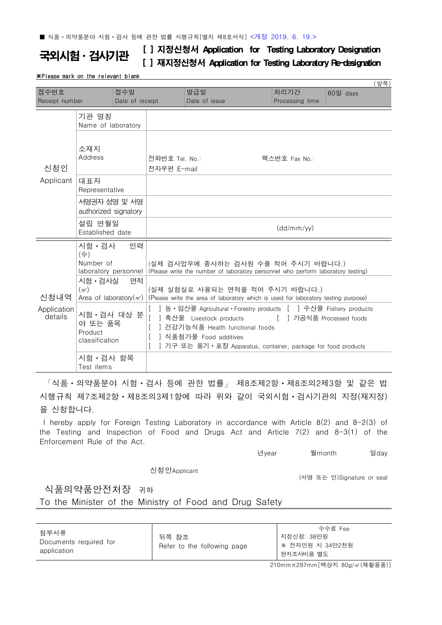국외시험 · 검사기관 [ ] 지정신청서 Application for Testing Laboratory Designation [ ] 재지정신청서 Application for Testing Laboratory Re-designation

## ※Please mark on the relevant blank

| (앞쪽)                   |                                                                                                                                               |                        |                                                                                                                                                                                                                                                           |                      |                         |          |  |  |
|------------------------|-----------------------------------------------------------------------------------------------------------------------------------------------|------------------------|-----------------------------------------------------------------------------------------------------------------------------------------------------------------------------------------------------------------------------------------------------------|----------------------|-------------------------|----------|--|--|
| 접수번호<br>Receipt number |                                                                                                                                               | 접수일<br>Date of receipt |                                                                                                                                                                                                                                                           | 발급일<br>Date of issue | 처리기간<br>Processing time | 60일 days |  |  |
|                        |                                                                                                                                               |                        |                                                                                                                                                                                                                                                           |                      |                         |          |  |  |
| 신청인<br>Applicant       | 기관 명칭<br>Name of laboratory                                                                                                                   |                        |                                                                                                                                                                                                                                                           |                      |                         |          |  |  |
|                        | 소재지<br>Address                                                                                                                                |                        | 전화번호 Tel. No.:<br>팩스번호 Fax No.:<br>전자우편 E-mail                                                                                                                                                                                                            |                      |                         |          |  |  |
|                        | 대표자<br>Representative                                                                                                                         |                        |                                                                                                                                                                                                                                                           |                      |                         |          |  |  |
|                        | 서명권자 성명 및 서명<br>authorized signatory                                                                                                          |                        |                                                                                                                                                                                                                                                           |                      |                         |          |  |  |
|                        | 설립 연월일<br>Established date                                                                                                                    |                        | (dd/mm/yy)                                                                                                                                                                                                                                                |                      |                         |          |  |  |
| 신청내역                   | 인력<br>시험 • 검사<br>$(\Leftrightarrow)$<br>Number of<br>laboratory personnel<br>시험 • 검사실<br>면적<br>(m <sup>2</sup> )<br>Area of laboratory $(m2)$ |                        | (실제 검사업무에 종사하는 검사원 수를 적어 주시기 바랍니다.)<br>(Please write the number of laboratory personnel who perform laboratory testing)<br>(실제 실험실로 사용되는 면적을 적어 주시기 바랍니다.)<br>(Please write the area of laboratory which is used for laboratory testing purpose)          |                      |                         |          |  |  |
| Application<br>details | 시험 · 검사 대상 분<br>야 또는 품목<br>Product<br>classification                                                                                          |                        | ] 농 • 임산물 Agricultural • Forestry products [ ] 수산물 Fishery products<br>[ ] 가공식품 Processed foods<br>축산물 Livestock products<br>ㅣ건강기능식품 Health functional foods<br>] 식품첨가물 Food additives<br>] 기구 또는 용기 • 포장 Apparatus, container, package for food products |                      |                         |          |  |  |
|                        | 시험 · 검사 항목<br>Test items                                                                                                                      |                        |                                                                                                                                                                                                                                                           |                      |                         |          |  |  |

「식품ㆍ의약품분야 시험ㆍ검사 등에 관한 법률」 제8조제2항ㆍ제8조의2제3항 및 같은 법 시행규칙 제7조제2항ㆍ제8조의3제1항에 따라 위와 같이 국외시험ㆍ검사기관의 지정(재지정) 을 신청합니다.

I hereby apply for Foreign Testing Laboratory in accordance with Article 8(2) and 8-2(3) of the Testing and Inspection of Food and Drugs Act and Article 7(2) and 8-3(1) of the Enforcement Rule of the Act.

년year 월month 일day

신청인Applicant

(서명 또는 인)Signature or seal

식품의약품안전처장 귀하

To the Minister of the Ministry of Food and Drug Safety

| 첨부서류<br>Documents required for<br>application | 뒤쪽 참조<br>Refer to the following page | 수수료 Fee<br>지정신청: 38만원<br>※ 전자민원 시 34만2천원<br>현지조사비용 별도 |
|-----------------------------------------------|--------------------------------------|-------------------------------------------------------|
|-----------------------------------------------|--------------------------------------|-------------------------------------------------------|

210mm×297mm[백상지 80g/㎡(재활용품)]